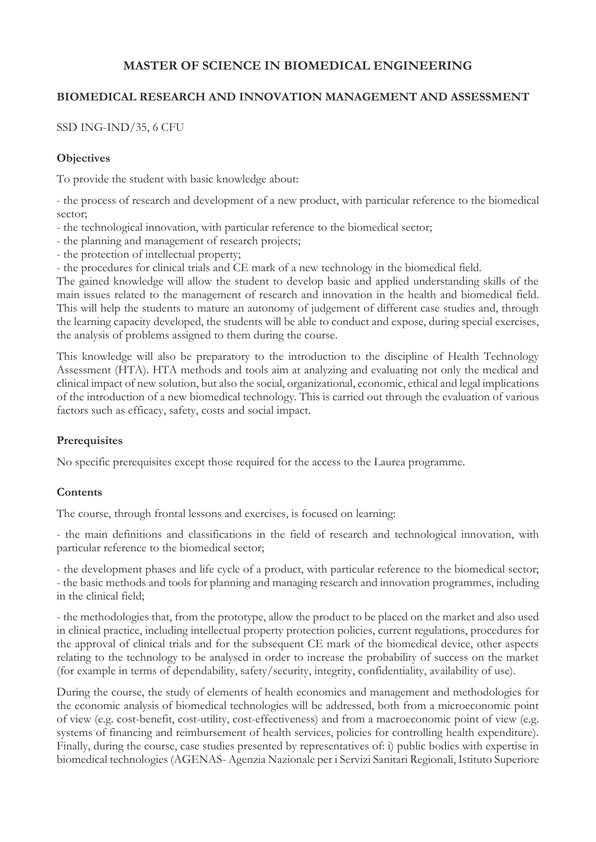# **MASTER OF SCIENCE IN BIOMEDICAL ENGINEERING**

### **BIOMEDICAL RESEARCH AND INNOVATION MANAGEMENT AND ASSESSMENT**

SSD ING-IND/35, 6 CFU

#### **Objectives**

To provide the student with basic knowledge about:

- the process of research and development of a new product, with particular reference to the biomedical sector;

- the technological innovation, with particular reference to the biomedical sector;
- the planning and management of research projects;
- the protection of intellectual property;
- the procedures for clinical trials and CE mark of a new technology in the biomedical field.

The gained knowledge will allow the student to develop basic and applied understanding skills of the main issues related to the management of research and innovation in the health and biomedical field. This will help the students to mature an autonomy of judgement of different case studies and, through the learning capacity developed, the students will be able to conduct and expose, during special exercises, the analysis of problems assigned to them during the course.

This knowledge will also be preparatory to the introduction to the discipline of Health Technology Assessment (HTA). HTA methods and tools aim at analyzing and evaluating not only the medical and clinical impact of new solution, but also the social, organizational, economic, ethical and legal implications of the introduction of a new biomedical technology. This is carried out through the evaluation of various factors such as efficacy, safety, costs and social impact.

### **Prerequisites**

No specific prerequisites except those required for the access to the Laurea programme.

### **Contents**

The course, through frontal lessons and exercises, is focused on learning:

- the main definitions and classifications in the field of research and technological innovation, with particular reference to the biomedical sector;

- the development phases and life cycle of a product, with particular reference to the biomedical sector; - the basic methods and tools for planning and managing research and innovation programmes, including in the clinical field;

- the methodologies that, from the prototype, allow the product to be placed on the market and also used in clinical practice, including intellectual property protection policies, current regulations, procedures for the approval of clinical trials and for the subsequent CE mark of the biomedical device, other aspects relating to the technology to be analysed in order to increase the probability of success on the market (for example in terms of dependability, safety/security, integrity, confidentiality, availability of use).

During the course, the study of elements of health economics and management and methodologies for the economic analysis of biomedical technologies will be addressed, both from a microeconomic point of view (e.g. cost-benefit, cost-utility, cost-effectiveness) and from a macroeconomic point of view (e.g. systems of financing and reimbursement of health services, policies for controlling health expenditure). Finally, during the course, case studies presented by representatives of: i) public bodies with expertise in biomedical technologies (AGENAS- Agenzia Nazionale per i Servizi Sanitari Regionali, Istituto Superiore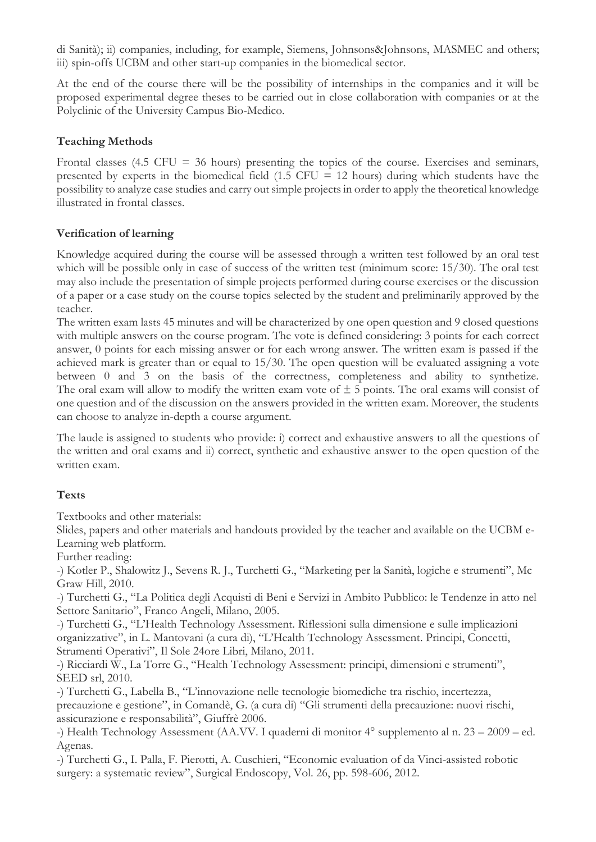di Sanità); ii) companies, including, for example, Siemens, Johnsons&Johnsons, MASMEC and others; iii) spin-offs UCBM and other start-up companies in the biomedical sector.

At the end of the course there will be the possibility of internships in the companies and it will be proposed experimental degree theses to be carried out in close collaboration with companies or at the Polyclinic of the University Campus Bio-Medico.

### **Teaching Methods**

Frontal classes (4.5 CFU = 36 hours) presenting the topics of the course. Exercises and seminars, presented by experts in the biomedical field  $(1.5$  CFU = 12 hours) during which students have the possibility to analyze case studies and carry out simple projects in order to apply the theoretical knowledge illustrated in frontal classes.

### **Verification of learning**

Knowledge acquired during the course will be assessed through a written test followed by an oral test which will be possible only in case of success of the written test (minimum score: 15/30). The oral test may also include the presentation of simple projects performed during course exercises or the discussion of a paper or a case study on the course topics selected by the student and preliminarily approved by the teacher.

The written exam lasts 45 minutes and will be characterized by one open question and 9 closed questions with multiple answers on the course program. The vote is defined considering: 3 points for each correct answer, 0 points for each missing answer or for each wrong answer. The written exam is passed if the achieved mark is greater than or equal to 15/30. The open question will be evaluated assigning a vote between 0 and 3 on the basis of the correctness, completeness and ability to synthetize. The oral exam will allow to modify the written exam vote of  $\pm$  5 points. The oral exams will consist of one question and of the discussion on the answers provided in the written exam. Moreover, the students can choose to analyze in-depth a course argument.

The laude is assigned to students who provide: i) correct and exhaustive answers to all the questions of the written and oral exams and ii) correct, synthetic and exhaustive answer to the open question of the written exam.

# **Texts**

Textbooks and other materials:

Slides, papers and other materials and handouts provided by the teacher and available on the UCBM e-Learning web platform.

Further reading:

-) Kotler P., Shalowitz J., Sevens R. J., Turchetti G., "Marketing per la Sanità, logiche e strumenti", Mc Graw Hill, 2010.

-) Turchetti G., "La Politica degli Acquisti di Beni e Servizi in Ambito Pubblico: le Tendenze in atto nel Settore Sanitario", Franco Angeli, Milano, 2005.

-) Turchetti G., "L'Health Technology Assessment. Riflessioni sulla dimensione e sulle implicazioni organizzative", in L. Mantovani (a cura di), "L'Health Technology Assessment. Principi, Concetti, Strumenti Operativi", Il Sole 24ore Libri, Milano, 2011.

-) Ricciardi W., La Torre G., "Health Technology Assessment: principi, dimensioni e strumenti", SEED srl, 2010.

-) Turchetti G., Labella B., "L'innovazione nelle tecnologie biomediche tra rischio, incertezza, precauzione e gestione", in Comandè, G. (a cura di) "Gli strumenti della precauzione: nuovi rischi, assicurazione e responsabilità", Giuffrè 2006.

-) Health Technology Assessment (AA.VV. I quaderni di monitor 4° supplemento al n. 23 – 2009 – ed. Agenas.

-) Turchetti G., I. Palla, F. Pierotti, A. Cuschieri, "Economic evaluation of da Vinci-assisted robotic surgery: a systematic review", Surgical Endoscopy, Vol. 26, pp. 598-606, 2012.